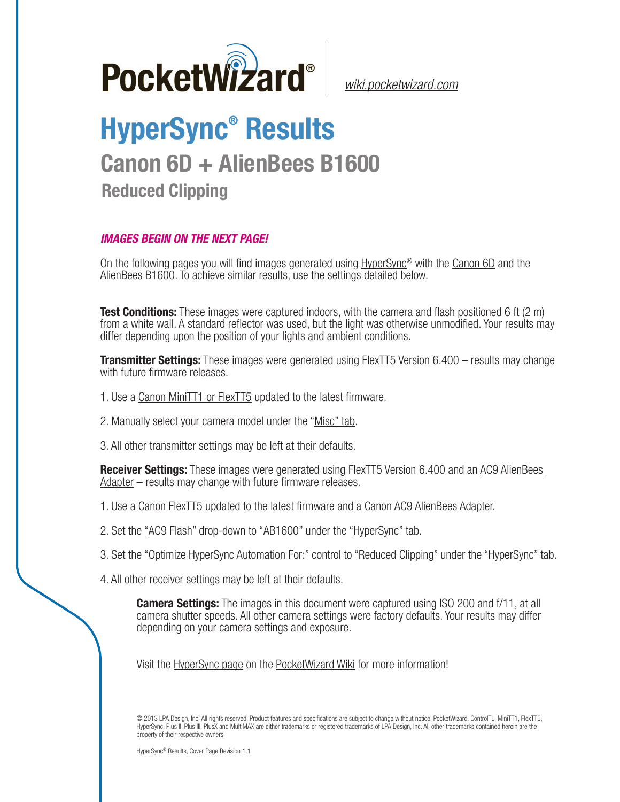

*[wiki.pocketwizard.com](http://wiki.pocketwizard.com/)*

## **HyperSync® Results Canon 6D + AlienBees B1600**

**Reduced Clipping**

## *IMAGES BEGIN ON THE NEXT PAGE!*

On the following pages you will find images generated using [HyperSync](http://wiki.pocketwizard.com/index.php?title=Hypersync)® with the [Canon 6D](http://wiki.pocketwizard.com/index.php?title=Canon_6D) and the AlienBees B1600. To achieve similar results, use the settings detailed below.

**Test Conditions:** These images were captured indoors, with the camera and flash positioned 6 ft (2 m) from a white wall. A standard reflector was used, but the light was otherwise unmodified. Your results may differ depending upon the position of your lights and ambient conditions.

**Transmitter Settings:** These images were generated using FlexTT5 Version 6.400 – results may change with future firmware releases.

- 1. Use a [Canon MiniTT1 or FlexTT5](http://wiki.pocketwizard.com/index.php?title=Canon_MiniTT1_and_FlexTT5) updated to the latest firmware.
- 2. Manually select your camera model under the "[Misc" tab](http://wiki.pocketwizard.com/index.php?title=Misc_Tab).
- 3. All other transmitter settings may be left at their defaults.

**Receiver Settings:** These images were generated using FlexTT5 Version 6.400 and an [AC9 AlienBees](http://wiki.pocketwizard.com/index.php?title=AC9_AlienBees_Adapter)  [Adapter](http://wiki.pocketwizard.com/index.php?title=AC9_AlienBees_Adapter) – results may change with future firmware releases.

- 1. Use a [Canon FlexTT5](http://wiki.pocketwizard.com/index.php?title=Canon_MiniTT1_and_FlexTT5) updated to the latest firmware and a Canon AC9 AlienBees Adapter.
- 2. Set the "[AC9 Flash](http://wiki.pocketwizard.com/index.php?title=HyperSync/HSS_Tab#AC9_Flash)" drop-down to "AB1600" under the "[HyperSync" tab](http://wiki.pocketwizard.com/index.php?title=Hypersync_tab).
- 3. Set the "[Optimize HyperSync Automation For:](http://wiki.pocketwizard.com/index.php?title=HyperSync/HSS_Tab#Optimize_HyperSync_Automation_For:)" control to ["Reduced Clipping"](http://wiki.pocketwizard.com/index.php?title=HyperSync/HSS_Tab#Optimize_HyperSync_Automation_For:) under the "HyperSync" tab.
- 4. All other receiver settings may be left at their defaults.

**Camera Settings:** The images in this document were captured using ISO 200 and f/11, at all camera shutter speeds. All other camera settings were factory defaults. Your results may differ depending on your camera settings and exposure.

Visit the [HyperSync page](http://wiki.pocketwizard.com/index.php?title=Hypersync) on the P[ocketWizard Wiki](http://wiki.pocketwizard.com/) for more information!

© 2013 LPA Design, Inc. All rights reserved. Product features and specifications are subject to change without notice. PocketWizard, ControlTL, MiniTT1, FlexTT5, HyperSync, Plus II, Plus III, PlusX and MultiMAX are either trademarks or registered trademarks of LPA Design, Inc. All other trademarks contained herein are the property of their respective owners.

HyperSync® Results, Cover Page Revision 1.1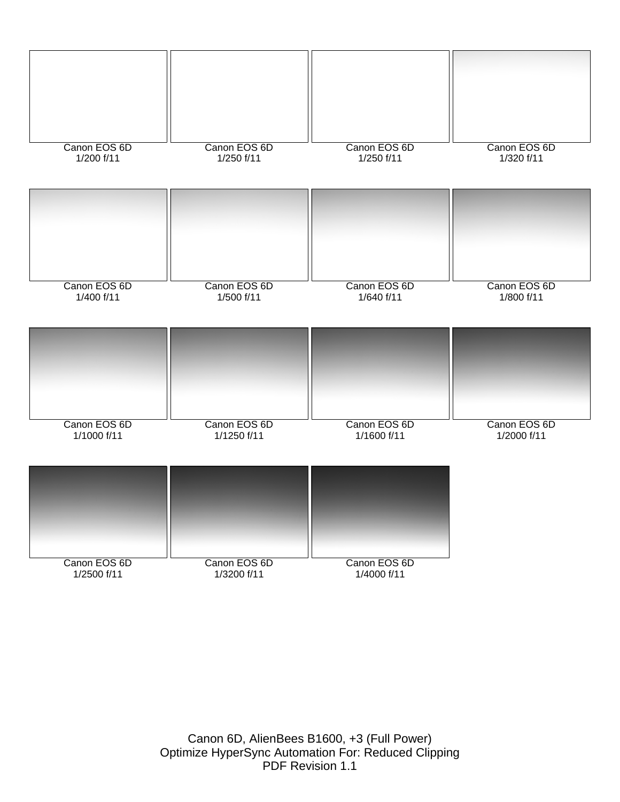

Canon 6D, AlienBees B1600, +3 (Full Power) Optimize HyperSync Automation For: Reduced Clipping PDF Revision 1.1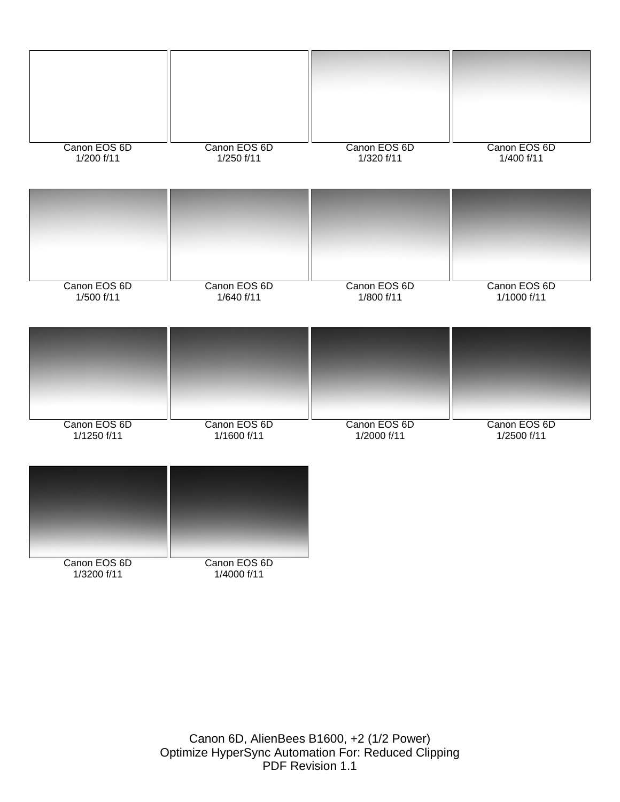

Canon 6D, AlienBees B1600, +2 (1/2 Power) Optimize HyperSync Automation For: Reduced Clipping PDF Revision 1.1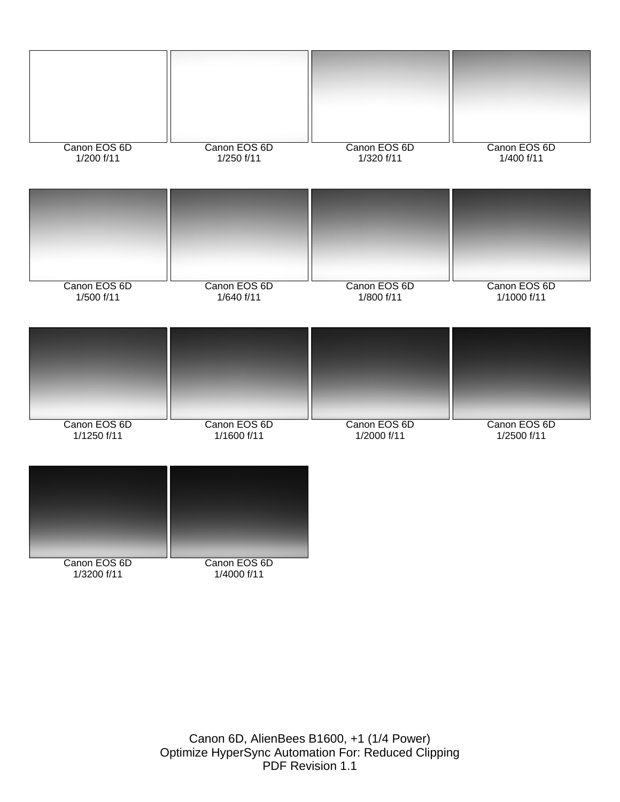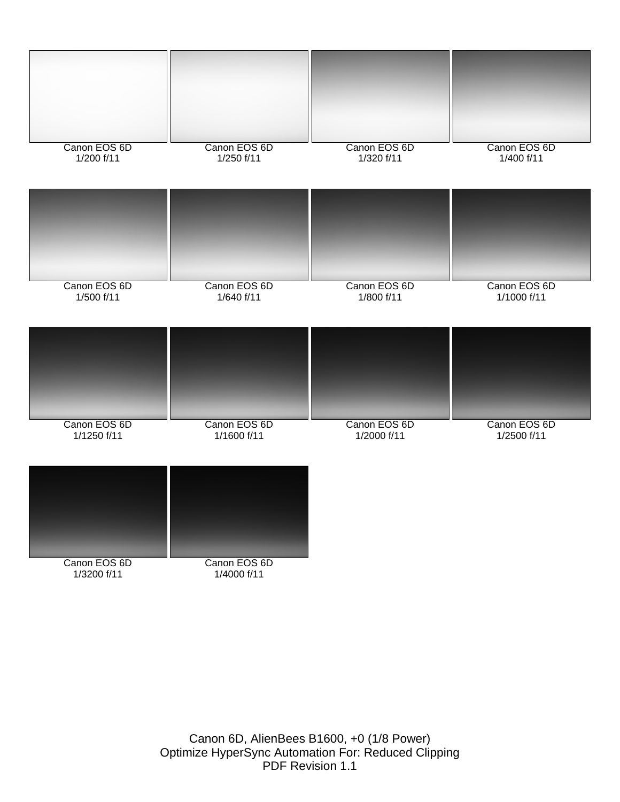

Canon 6D, AlienBees B1600, +0 (1/8 Power) Optimize HyperSync Automation For: Reduced Clipping PDF Revision 1.1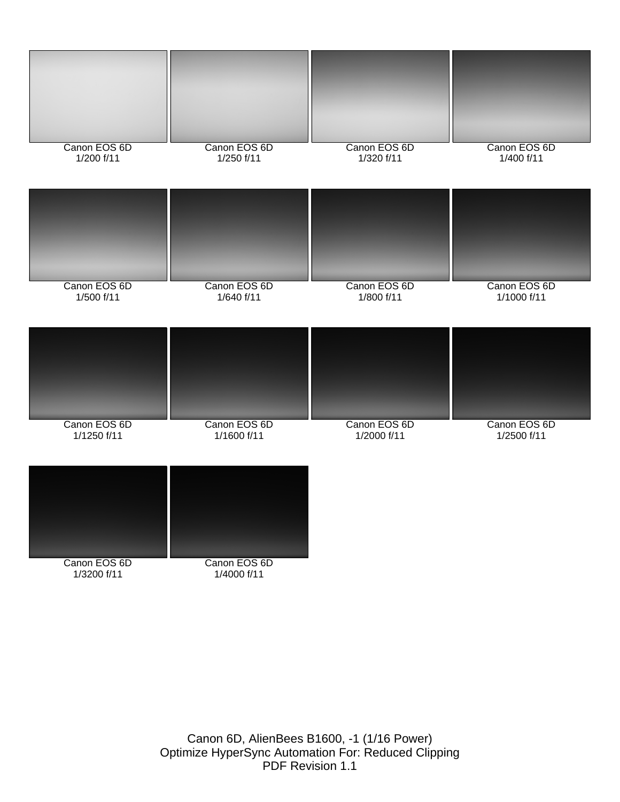

Canon 6D, AlienBees B1600, -1 (1/16 Power) Optimize HyperSync Automation For: Reduced Clipping PDF Revision 1.1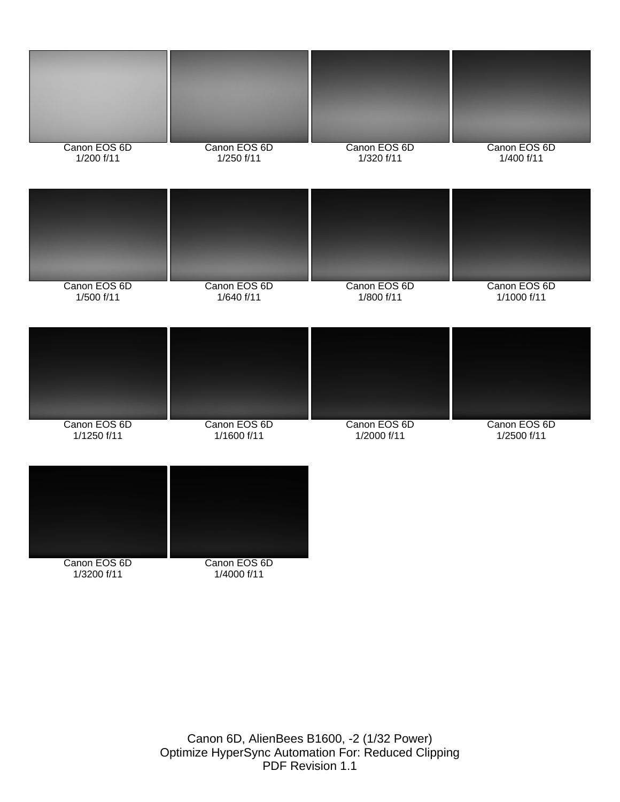

Canon 6D, AlienBees B1600, -2 (1/32 Power) Optimize HyperSync Automation For: Reduced Clipping PDF Revision 1.1